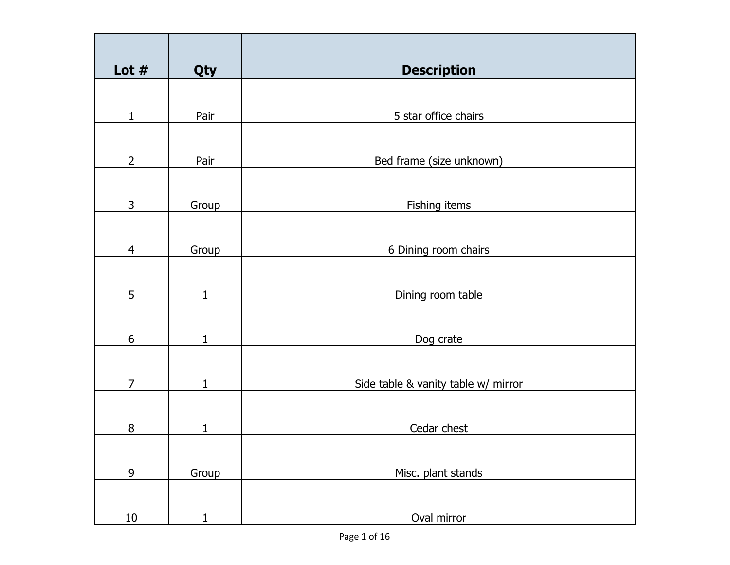| Lot $#$          | Qty          | <b>Description</b>                  |
|------------------|--------------|-------------------------------------|
|                  |              |                                     |
| 1                | Pair         | 5 star office chairs                |
| $\overline{2}$   | Pair         | Bed frame (size unknown)            |
|                  |              |                                     |
| 3                | Group        | Fishing items                       |
|                  |              |                                     |
| $\overline{4}$   | Group        | 6 Dining room chairs                |
|                  |              |                                     |
| 5                | $\mathbf{1}$ | Dining room table                   |
|                  |              |                                     |
| $\boldsymbol{6}$ | $\mathbf{1}$ | Dog crate                           |
|                  |              |                                     |
| $\overline{7}$   | $\mathbf{1}$ | Side table & vanity table w/ mirror |
|                  |              |                                     |
| $\, 8$           | $\mathbf 1$  | Cedar chest                         |
|                  |              |                                     |
|                  |              |                                     |
| $\overline{9}$   | Group        | Misc. plant stands                  |
|                  |              |                                     |
|                  |              |                                     |
| 10               | $\mathbf{1}$ | Oval mirror                         |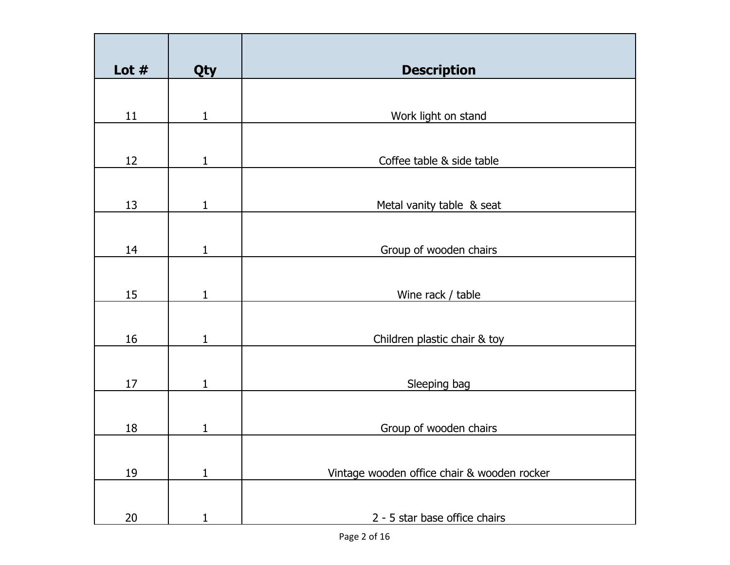| Lot $#$ | Qty          | <b>Description</b>                          |
|---------|--------------|---------------------------------------------|
|         |              |                                             |
| 11      | $\mathbf{1}$ | Work light on stand                         |
|         |              |                                             |
| 12      | $\mathbf{1}$ | Coffee table & side table                   |
| 13      | $\mathbf{1}$ | Metal vanity table & seat                   |
|         |              |                                             |
| 14      | $\mathbf{1}$ | Group of wooden chairs                      |
|         |              |                                             |
| 15      | 1            | Wine rack / table                           |
|         |              |                                             |
| 16      | 1            | Children plastic chair & toy                |
| 17      | 1            | Sleeping bag                                |
|         |              |                                             |
| 18      | $\mathbf{1}$ | Group of wooden chairs                      |
|         |              |                                             |
| 19      | $\mathbf{1}$ | Vintage wooden office chair & wooden rocker |
|         |              |                                             |
| 20      | 1            | 2 - 5 star base office chairs               |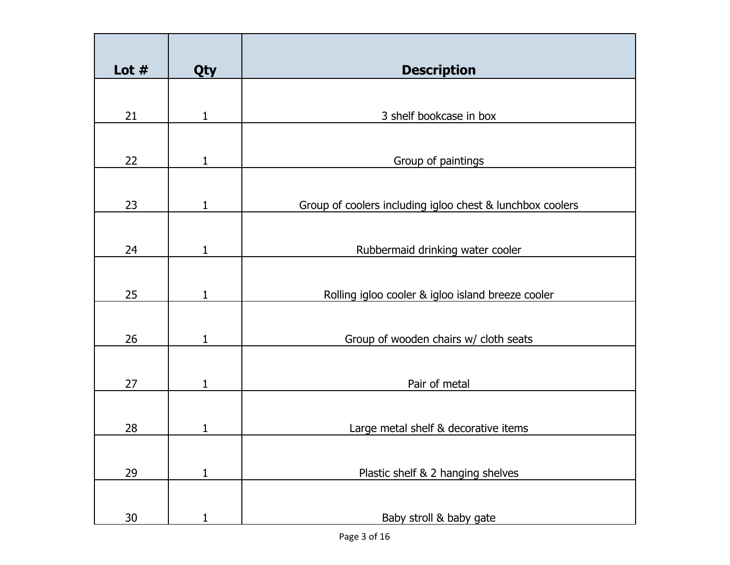| Lot $#$ | Qty          | <b>Description</b>                                        |
|---------|--------------|-----------------------------------------------------------|
|         |              |                                                           |
| 21      | 1            | 3 shelf bookcase in box                                   |
|         |              |                                                           |
| 22      | 1            | Group of paintings                                        |
|         |              |                                                           |
| 23      | 1            | Group of coolers including igloo chest & lunchbox coolers |
|         |              |                                                           |
| 24      | 1            | Rubbermaid drinking water cooler                          |
|         |              |                                                           |
| 25      | 1            | Rolling igloo cooler & igloo island breeze cooler         |
|         |              |                                                           |
| 26      | 1            | Group of wooden chairs w/ cloth seats                     |
|         |              |                                                           |
| 27      | 1            | Pair of metal                                             |
|         |              |                                                           |
| 28      | 1            | Large metal shelf & decorative items                      |
|         |              |                                                           |
| 29      | $\mathbf{1}$ | Plastic shelf & 2 hanging shelves                         |
|         |              |                                                           |
| 30      | 1            | Baby stroll & baby gate                                   |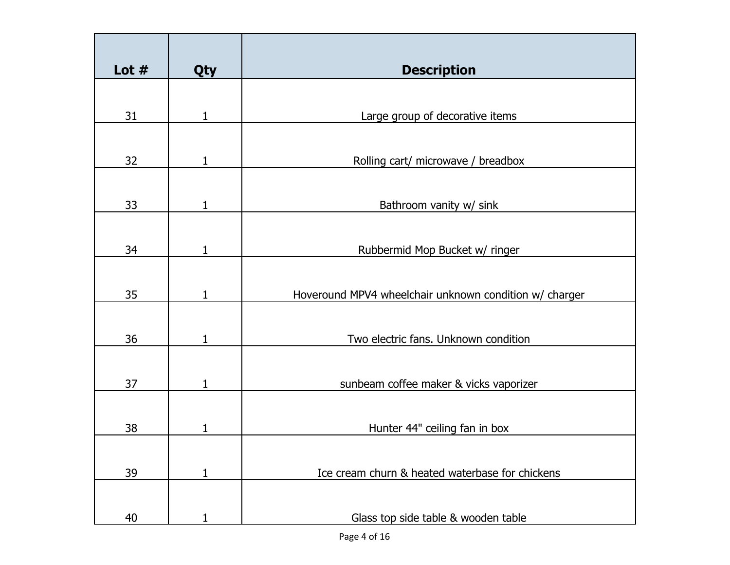| Lot $#$ | Qty          | <b>Description</b>                                     |
|---------|--------------|--------------------------------------------------------|
|         |              |                                                        |
| 31      | $\mathbf{1}$ | Large group of decorative items                        |
|         |              |                                                        |
| 32      | 1            | Rolling cart/ microwave / breadbox                     |
|         |              |                                                        |
| 33      | $\mathbf{1}$ | Bathroom vanity w/ sink                                |
|         |              |                                                        |
| 34      | 1            | Rubbermid Mop Bucket w/ ringer                         |
|         |              |                                                        |
| 35      | 1            | Hoveround MPV4 wheelchair unknown condition w/ charger |
|         |              |                                                        |
| 36      | 1            | Two electric fans. Unknown condition                   |
|         |              |                                                        |
| 37      | 1            | sunbeam coffee maker & vicks vaporizer                 |
|         |              |                                                        |
| 38      |              | Hunter 44" ceiling fan in box                          |
|         |              |                                                        |
| 39      | $\mathbf{1}$ | Ice cream churn & heated waterbase for chickens        |
|         |              |                                                        |
| 40      |              | Glass top side table & wooden table                    |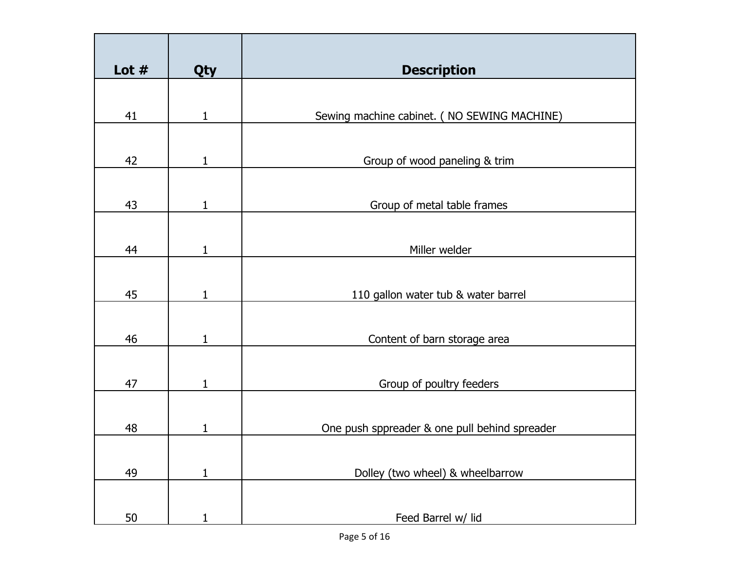| Lot $#$ | Qty          | <b>Description</b>                            |
|---------|--------------|-----------------------------------------------|
|         |              |                                               |
| 41      | 1            | Sewing machine cabinet. ( NO SEWING MACHINE)  |
|         |              |                                               |
| 42      | $\mathbf{1}$ | Group of wood paneling & trim                 |
|         |              |                                               |
| 43      | 1            | Group of metal table frames                   |
|         |              |                                               |
| 44      | 1            | Miller welder                                 |
|         |              |                                               |
| 45      | 1            | 110 gallon water tub & water barrel           |
|         |              |                                               |
| 46      | 1            | Content of barn storage area                  |
|         |              |                                               |
| 47      | 1            | Group of poultry feeders                      |
|         |              |                                               |
| 48      | 1            | One push sppreader & one pull behind spreader |
|         |              |                                               |
| 49      | $\mathbf{1}$ | Dolley (two wheel) & wheelbarrow              |
|         |              |                                               |
| 50      |              | Feed Barrel w/ lid                            |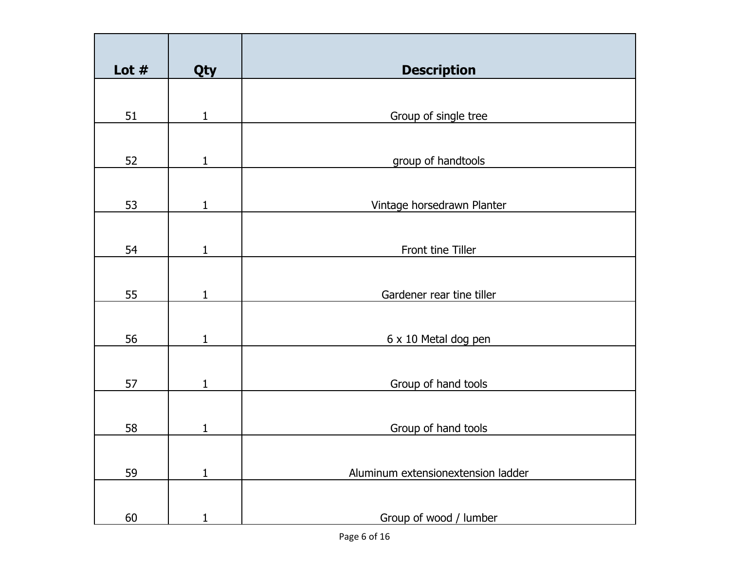| Lot $#$ | Qty          | <b>Description</b>                 |
|---------|--------------|------------------------------------|
|         |              |                                    |
| 51      | $\mathbf{1}$ | Group of single tree               |
| 52      | $\mathbf{1}$ |                                    |
|         |              | group of handtools                 |
| 53      | $\mathbf{1}$ | Vintage horsedrawn Planter         |
| 54      | 1            | Front tine Tiller                  |
|         |              |                                    |
| 55      | $\mathbf{1}$ | Gardener rear tine tiller          |
| 56      | $\mathbf{1}$ | 6 x 10 Metal dog pen               |
| 57      | $\mathbf{1}$ | Group of hand tools                |
| 58      | 1            | Group of hand tools                |
| 59      | $\mathbf{1}$ | Aluminum extensionextension ladder |
| 60      |              | Group of wood / lumber             |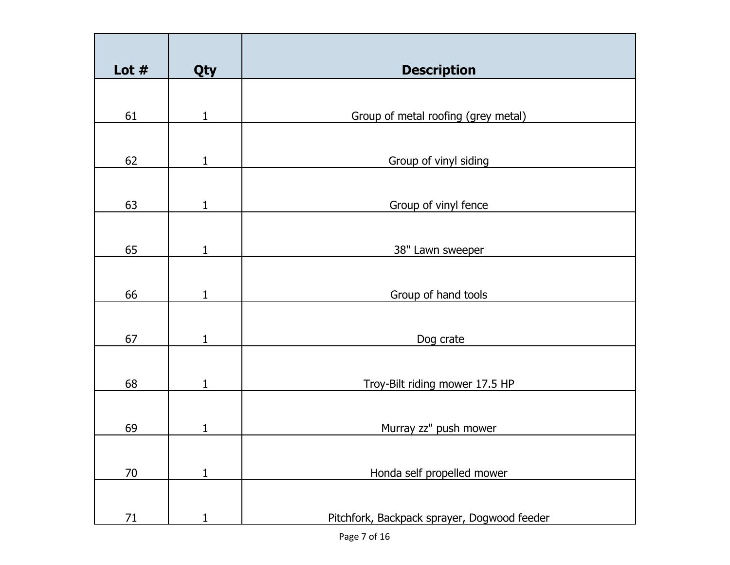| Lot $#$ | Qty          | <b>Description</b>                          |
|---------|--------------|---------------------------------------------|
|         |              |                                             |
| 61      | $\mathbf{1}$ | Group of metal roofing (grey metal)         |
|         |              |                                             |
| 62      | 1            | Group of vinyl siding                       |
|         |              |                                             |
| 63      | $\mathbf{1}$ | Group of vinyl fence                        |
|         |              |                                             |
| 65      | 1            | 38" Lawn sweeper                            |
|         |              |                                             |
| 66      | $\mathbf{1}$ | Group of hand tools                         |
|         |              |                                             |
| 67      | 1            | Dog crate                                   |
|         |              |                                             |
| 68      | $\mathbf{1}$ | Troy-Bilt riding mower 17.5 HP              |
|         |              |                                             |
| 69      | 1            | Murray zz" push mower                       |
|         |              |                                             |
| 70      | $\mathbf{1}$ | Honda self propelled mower                  |
|         |              |                                             |
| 71      |              | Pitchfork, Backpack sprayer, Dogwood feeder |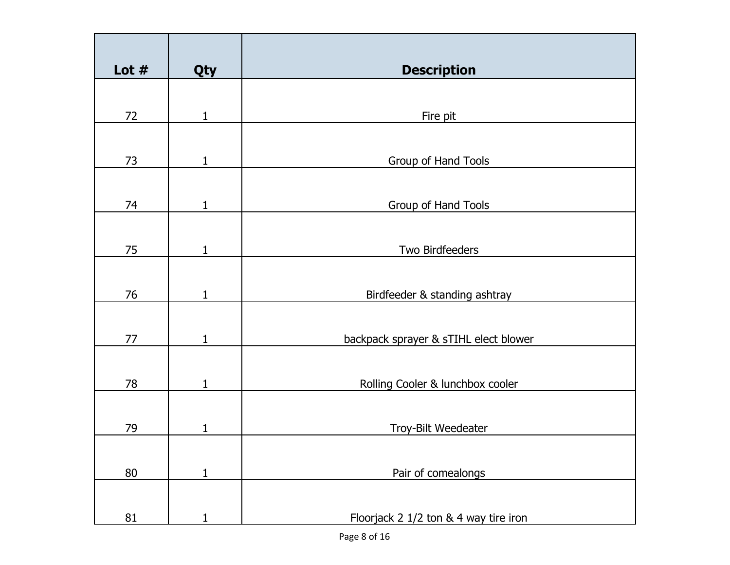| Lot $#$ | Qty          | <b>Description</b>                    |
|---------|--------------|---------------------------------------|
|         |              |                                       |
|         |              |                                       |
| 72      | $\mathbf{1}$ | Fire pit                              |
|         |              |                                       |
|         |              |                                       |
| 73      | $\mathbf{1}$ | Group of Hand Tools                   |
|         |              |                                       |
| 74      | $\mathbf{1}$ | Group of Hand Tools                   |
|         |              |                                       |
|         |              |                                       |
| 75      | 1            | Two Birdfeeders                       |
|         |              |                                       |
|         |              |                                       |
| 76      | 1            | Birdfeeder & standing ashtray         |
|         |              |                                       |
|         |              |                                       |
| 77      | $\mathbf{1}$ | backpack sprayer & sTIHL elect blower |
|         |              |                                       |
|         |              |                                       |
| 78      | 1            | Rolling Cooler & lunchbox cooler      |
|         |              |                                       |
|         |              |                                       |
| 79      | 1            | Troy-Bilt Weedeater                   |
|         |              |                                       |
|         |              |                                       |
| 80      | $\mathbf{1}$ | Pair of comealongs                    |
|         |              |                                       |
|         |              |                                       |
| 81      | 1            | Floorjack 2 1/2 ton & 4 way tire iron |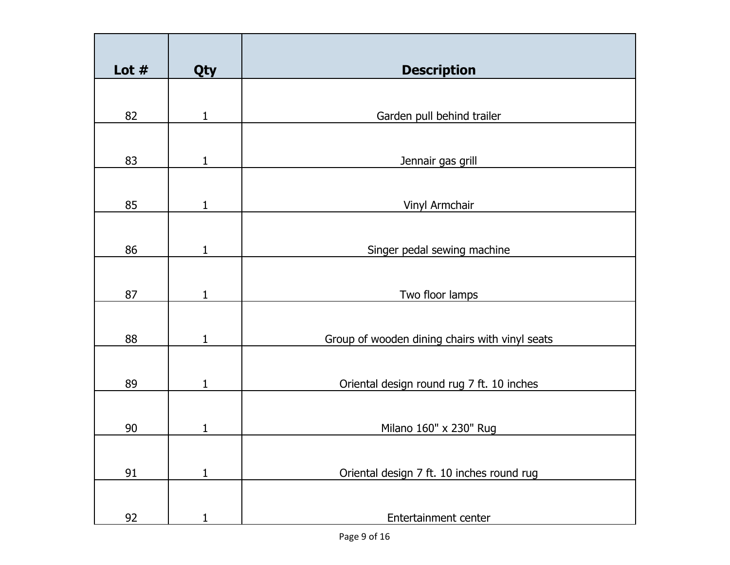| Lot $#$ | Qty          | <b>Description</b>                             |
|---------|--------------|------------------------------------------------|
|         |              |                                                |
| 82      | $\mathbf 1$  | Garden pull behind trailer                     |
|         |              |                                                |
| 83      | $\mathbf{1}$ | Jennair gas grill                              |
|         |              |                                                |
| 85      | 1            | Vinyl Armchair                                 |
|         |              |                                                |
| 86      | 1            | Singer pedal sewing machine                    |
|         |              |                                                |
| 87      | 1            | Two floor lamps                                |
|         |              |                                                |
| 88      | $\mathbf{1}$ | Group of wooden dining chairs with vinyl seats |
|         |              |                                                |
| 89      | 1            | Oriental design round rug 7 ft. 10 inches      |
|         |              |                                                |
| 90      | 1            | Milano 160" x 230" Rug                         |
|         |              |                                                |
| 91      | $\mathbf{1}$ | Oriental design 7 ft. 10 inches round rug      |
|         |              |                                                |
| 92      |              | Entertainment center                           |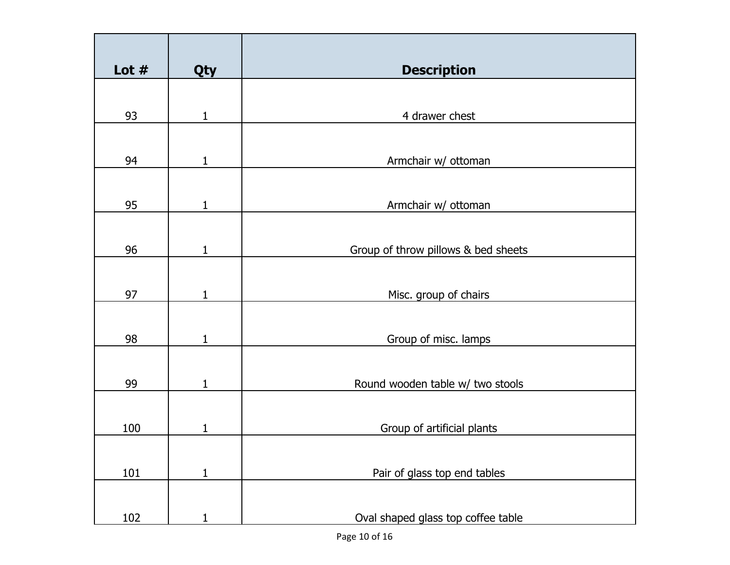| Lot $#$ | Qty          | <b>Description</b>                  |
|---------|--------------|-------------------------------------|
|         |              |                                     |
| 93      | $\mathbf{1}$ | 4 drawer chest                      |
|         |              |                                     |
| 94      | $\mathbf 1$  | Armchair w/ ottoman                 |
| 95      | $\mathbf{1}$ | Armchair w/ ottoman                 |
|         |              |                                     |
| 96      | $\mathbf{1}$ | Group of throw pillows & bed sheets |
|         |              |                                     |
| 97      | 1            | Misc. group of chairs               |
|         |              |                                     |
| 98      | 1            | Group of misc. lamps                |
|         |              |                                     |
|         |              |                                     |
| 99      | 1            | Round wooden table w/ two stools    |
|         |              |                                     |
| 100     | $\mathbf{1}$ | Group of artificial plants          |
|         |              |                                     |
|         |              |                                     |
| 101     | $\mathbf{1}$ | Pair of glass top end tables        |
|         |              |                                     |
|         |              |                                     |
| 102     |              | Oval shaped glass top coffee table  |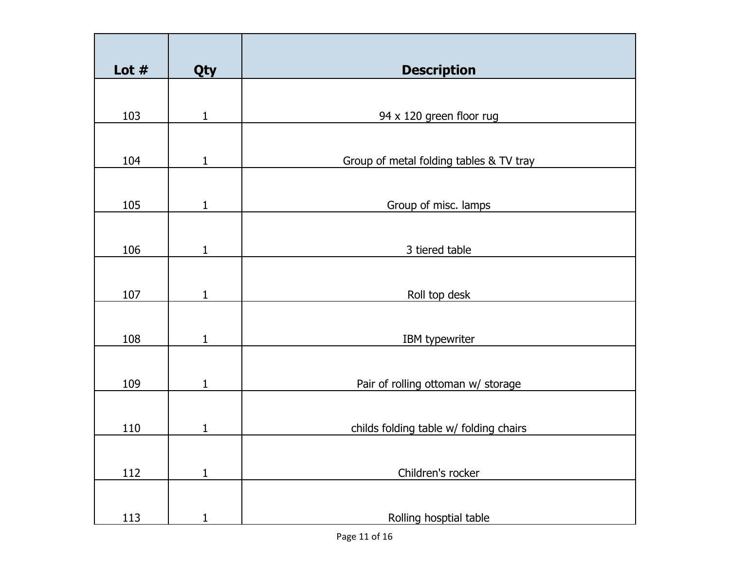| Lot $#$    | Qty          | <b>Description</b>                      |
|------------|--------------|-----------------------------------------|
|            |              |                                         |
| 103        | $\mathbf{1}$ | 94 x 120 green floor rug                |
|            |              |                                         |
| 104        | $\mathbf{1}$ | Group of metal folding tables & TV tray |
|            |              |                                         |
| 105        | 1            | Group of misc. lamps                    |
|            |              |                                         |
| 106        | $\mathbf{1}$ | 3 tiered table                          |
|            |              |                                         |
| 107        | $\mathbf{1}$ | Roll top desk                           |
|            |              |                                         |
| 108        | 1            | <b>IBM</b> typewriter                   |
|            |              |                                         |
| 109        | 1            | Pair of rolling ottoman w/ storage      |
|            |              |                                         |
| 110        | 1            | childs folding table w/ folding chairs  |
|            |              |                                         |
| 112        | $\mathbf{1}$ | Children's rocker                       |
|            |              |                                         |
| <u>113</u> | $\mathbf 1$  | Rolling hosptial table                  |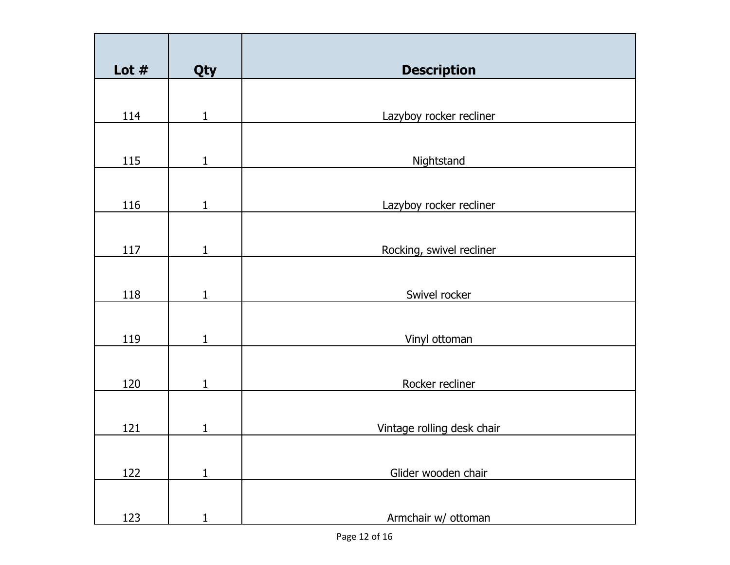| Lot $#$ | Qty          | <b>Description</b>         |
|---------|--------------|----------------------------|
|         |              |                            |
| 114     | $\mathbf{1}$ | Lazyboy rocker recliner    |
|         |              |                            |
| 115     | $\mathbf{1}$ | Nightstand                 |
|         |              |                            |
| 116     | $\mathbf{1}$ | Lazyboy rocker recliner    |
|         |              |                            |
| 117     | $\mathbf{1}$ | Rocking, swivel recliner   |
|         |              |                            |
| 118     | 1            | Swivel rocker              |
|         |              |                            |
| 119     | $\mathbf{1}$ | Vinyl ottoman              |
|         |              |                            |
| 120     | $\mathbf{1}$ | Rocker recliner            |
|         |              |                            |
| 121     | 1            | Vintage rolling desk chair |
|         |              |                            |
| 122     | $\mathbf{1}$ | Glider wooden chair        |
|         |              |                            |
| 123     | 1            | Armchair w/ ottoman        |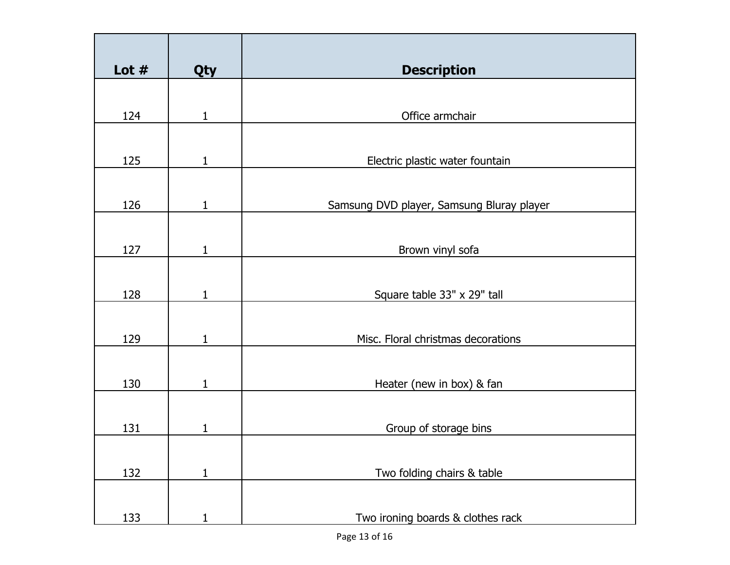| Lot $#$ | Qty          | <b>Description</b>                        |
|---------|--------------|-------------------------------------------|
|         |              |                                           |
| 124     | $\mathbf{1}$ | Office armchair                           |
|         |              |                                           |
| 125     | 1            | Electric plastic water fountain           |
|         |              |                                           |
| 126     | 1            | Samsung DVD player, Samsung Bluray player |
|         |              |                                           |
| 127     | 1            | Brown vinyl sofa                          |
|         |              |                                           |
| 128     | 1            | Square table 33" x 29" tall               |
|         |              |                                           |
| 129     | 1            | Misc. Floral christmas decorations        |
|         |              |                                           |
| 130     | $\mathbf{1}$ | Heater (new in box) & fan                 |
|         |              |                                           |
| 131     | 1            | Group of storage bins                     |
|         |              |                                           |
| 132     | $\mathbf{1}$ | Two folding chairs & table                |
|         |              |                                           |
| 133     | 1            | Two ironing boards & clothes rack         |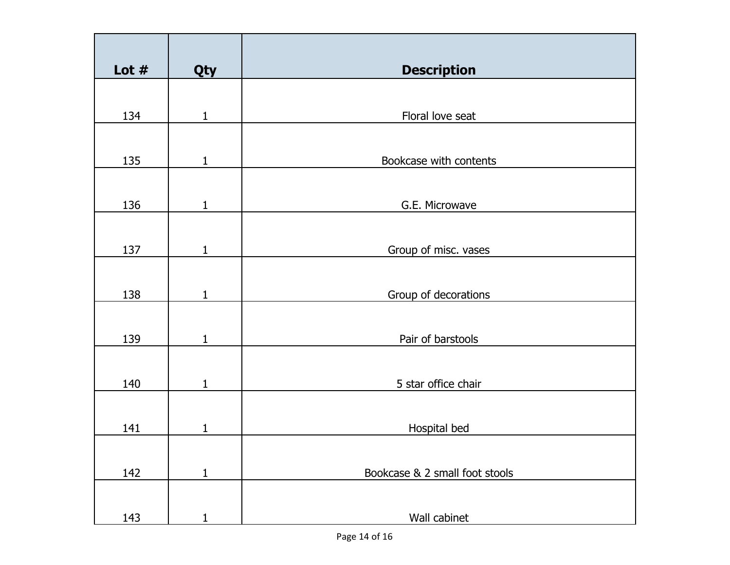| Lot $#$ | Qty          | <b>Description</b>             |
|---------|--------------|--------------------------------|
|         |              |                                |
| 134     | $\mathbf{1}$ | Floral love seat               |
|         |              |                                |
| 135     | $\mathbf{1}$ | Bookcase with contents         |
|         |              |                                |
| 136     | $\mathbf{1}$ | G.E. Microwave                 |
|         |              |                                |
| 137     | $\mathbf{1}$ | Group of misc. vases           |
|         |              |                                |
| 138     | $\mathbf{1}$ | Group of decorations           |
|         |              |                                |
| 139     | $\mathbf{1}$ | Pair of barstools              |
|         |              |                                |
| 140     | $\mathbf{1}$ | 5 star office chair            |
|         |              |                                |
| 141     | $\mathbf{1}$ | Hospital bed                   |
|         |              |                                |
| 142     | $\mathbf{1}$ | Bookcase & 2 small foot stools |
|         |              |                                |
| 143     | 1            | Wall cabinet                   |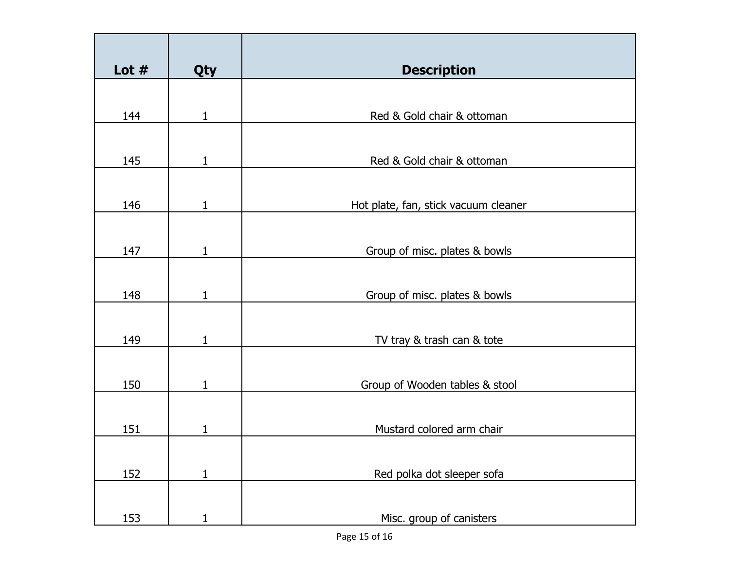| Lot $#$ | Qty          | <b>Description</b>                   |
|---------|--------------|--------------------------------------|
|         |              |                                      |
| 144     | $\mathbf{1}$ | Red & Gold chair & ottoman           |
| 145     | 1            | Red & Gold chair & ottoman           |
|         |              |                                      |
| 146     | 1            | Hot plate, fan, stick vacuum cleaner |
| 147     | $\mathbf{1}$ | Group of misc. plates & bowls        |
|         |              |                                      |
| 148     | 1            | Group of misc. plates & bowls        |
| 149     | $\mathbf{1}$ | TV tray & trash can & tote           |
| 150     | 1            | Group of Wooden tables & stool       |
| 151     | 1            | Mustard colored arm chair            |
| 152     | $\mathbf{1}$ | Red polka dot sleeper sofa           |
| 153     | 1            | Misc. group of canisters             |